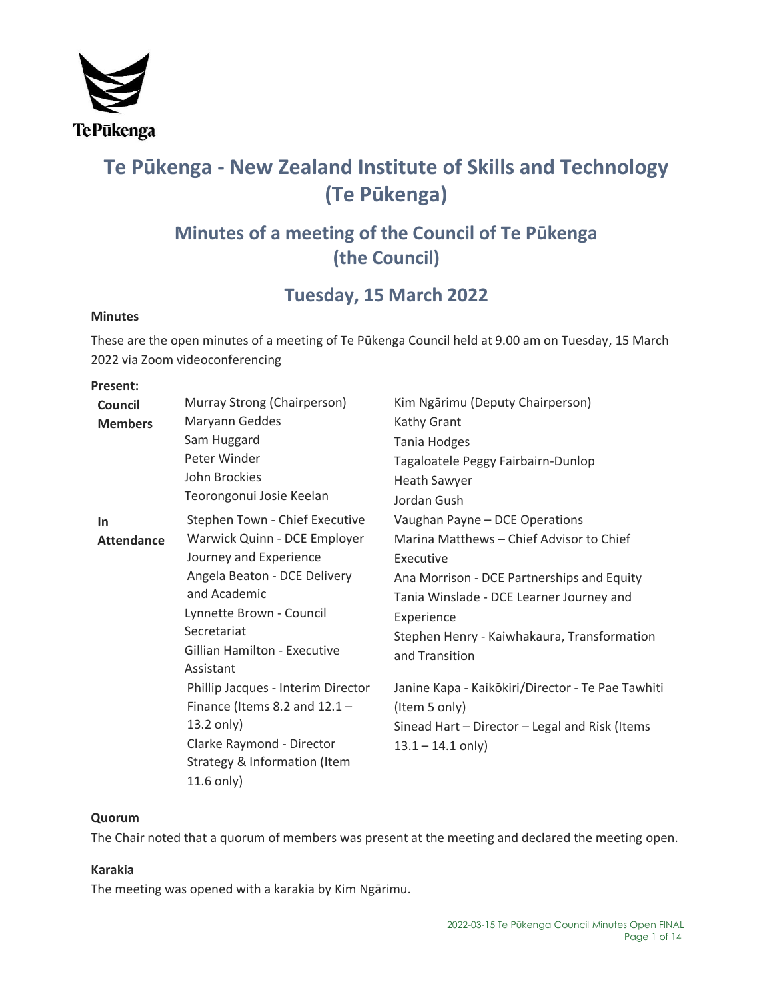

# **Te Pūkenga - New Zealand Institute of Skills and Technology (Te Pūkenga)**

# **Minutes of a meeting of the Council of Te Pūkenga (the Council)**

# **Tuesday, 15 March 2022**

# **Minutes**

These are the open minutes of a meeting of Te Pūkenga Council held at 9.00 am on Tuesday, 15 March 2022 via Zoom videoconferencing

### **Present:**

| Council           | Murray Strong (Chairperson)                                                                                                                                                              | Kim Ngārimu (Deputy Chairperson)                                                                                                                                                                                               |
|-------------------|------------------------------------------------------------------------------------------------------------------------------------------------------------------------------------------|--------------------------------------------------------------------------------------------------------------------------------------------------------------------------------------------------------------------------------|
| <b>Members</b>    | Maryann Geddes                                                                                                                                                                           | Kathy Grant                                                                                                                                                                                                                    |
|                   | Sam Huggard                                                                                                                                                                              | <b>Tania Hodges</b>                                                                                                                                                                                                            |
|                   | Peter Winder                                                                                                                                                                             | Tagaloatele Peggy Fairbairn-Dunlop                                                                                                                                                                                             |
|                   | John Brockies                                                                                                                                                                            | <b>Heath Sawyer</b>                                                                                                                                                                                                            |
|                   | Teorongonui Josie Keelan                                                                                                                                                                 | Jordan Gush                                                                                                                                                                                                                    |
| In                | Stephen Town - Chief Executive                                                                                                                                                           | Vaughan Payne - DCE Operations                                                                                                                                                                                                 |
| <b>Attendance</b> | Warwick Quinn - DCE Employer<br>Journey and Experience<br>Angela Beaton - DCE Delivery<br>and Academic<br>Lynnette Brown - Council<br>Secretariat<br><b>Gillian Hamilton - Executive</b> | Marina Matthews - Chief Advisor to Chief<br>Executive<br>Ana Morrison - DCE Partnerships and Equity<br>Tania Winslade - DCE Learner Journey and<br>Experience<br>Stephen Henry - Kaiwhakaura, Transformation<br>and Transition |
|                   | Assistant<br>Phillip Jacques - Interim Director<br>Finance (Items 8.2 and $12.1 -$<br>13.2 only)<br>Clarke Raymond - Director<br>Strategy & Information (Item<br>$11.6$ only)            | Janine Kapa - Kaikōkiri/Director - Te Pae Tawhiti<br>(Item 5 only)<br>Sinead Hart - Director - Legal and Risk (Items<br>$13.1 - 14.1$ only)                                                                                    |

# **Quorum**

The Chair noted that a quorum of members was present at the meeting and declared the meeting open.

# **Karakia**

The meeting was opened with a karakia by Kim Ngārimu.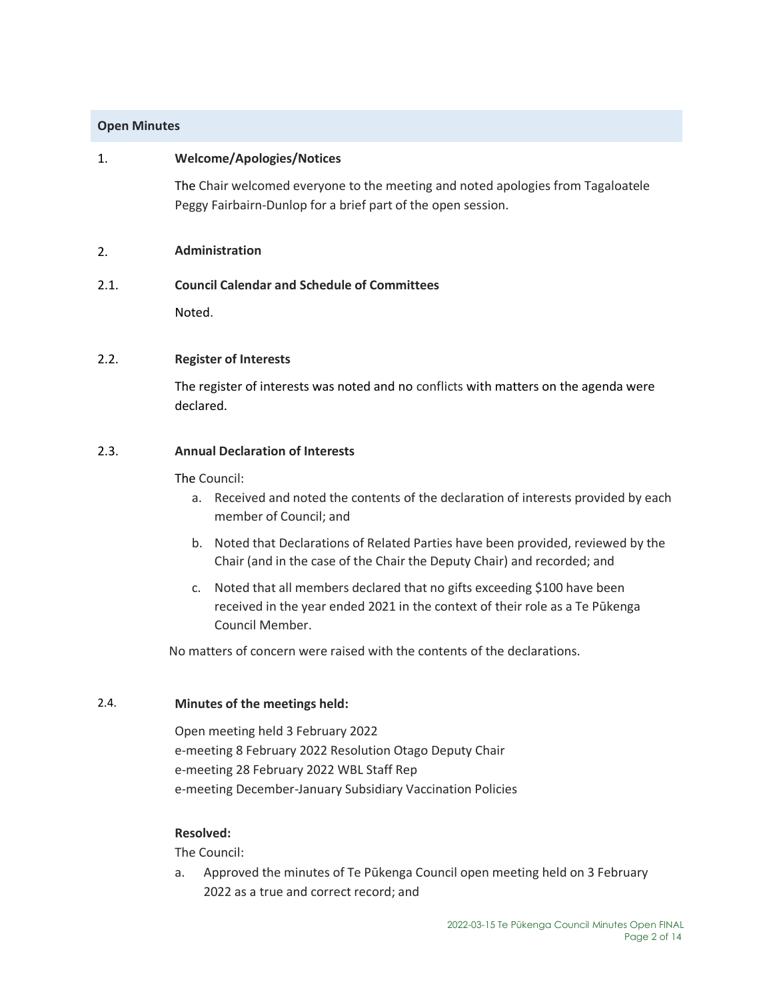# **Open Minutes**

## 1. **Welcome/Apologies/Notices**

The Chair welcomed everyone to the meeting and noted apologies from Tagaloatele Peggy Fairbairn-Dunlop for a brief part of the open session.

### 2. **Administration**

#### 2.1. **Council Calendar and Schedule of Committees**

Noted.

#### 2.2. **Register of Interests**

The register of interests was noted and no conflicts with matters on the agenda were declared.

## 2.3. **Annual Declaration of Interests**

#### The Council:

- a. Received and noted the contents of the declaration of interests provided by each member of Council; and
- b. Noted that Declarations of Related Parties have been provided, reviewed by the Chair (and in the case of the Chair the Deputy Chair) and recorded; and
- c. Noted that all members declared that no gifts exceeding \$100 have been received in the year ended 2021 in the context of their role as a Te Pūkenga Council Member.

No matters of concern were raised with the contents of the declarations.

# 2.4. **Minutes of the meetings held:**

Open meeting held 3 February 2022 e-meeting 8 February 2022 Resolution Otago Deputy Chair e-meeting 28 February 2022 WBL Staff Rep e-meeting December-January Subsidiary Vaccination Policies

#### **Resolved:**

The Council:

a. Approved the minutes of Te Pūkenga Council open meeting held on 3 February 2022 as a true and correct record; and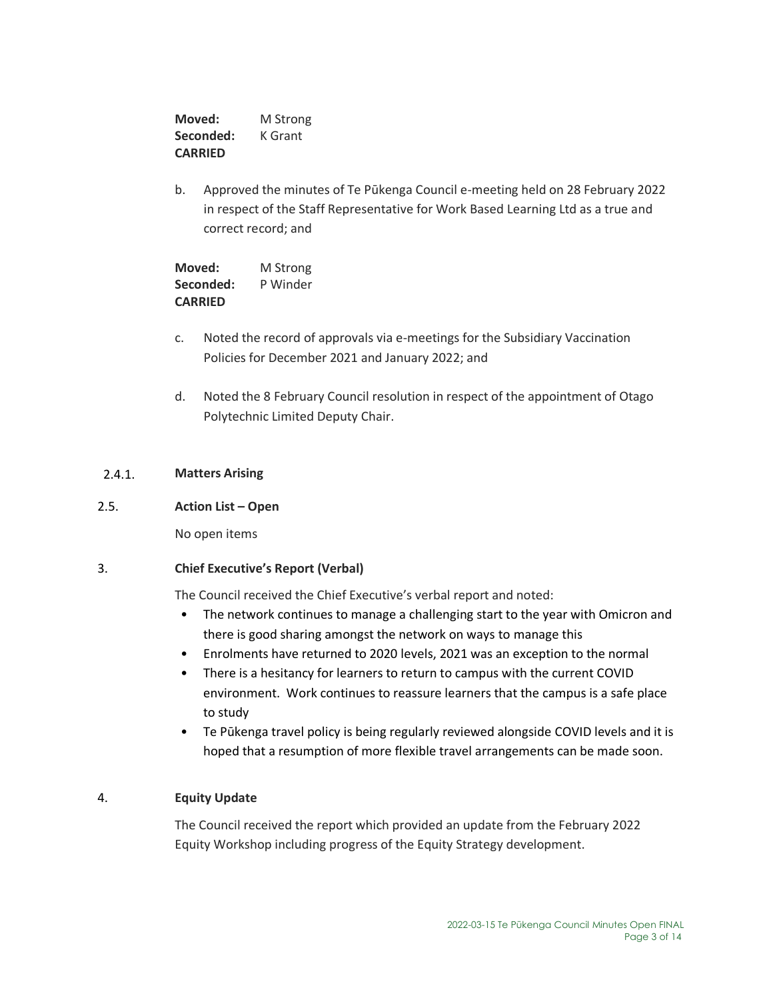**Moved:** M Strong **Seconded:** K Grant **CARRIED**

b. Approved the minutes of Te Pūkenga Council e-meeting held on 28 February 2022 in respect of the Staff Representative for Work Based Learning Ltd as a true and correct record; and

**Moved:** M Strong **Seconded:** P Winder **CARRIED**

- c. Noted the record of approvals via e-meetings for the Subsidiary Vaccination Policies for December 2021 and January 2022; and
- d. Noted the 8 February Council resolution in respect of the appointment of Otago Polytechnic Limited Deputy Chair.

# 2.4.1. **Matters Arising**

# 2.5. **Action List – Open**

No open items

# 3. **Chief Executive's Report (Verbal)**

The Council received the Chief Executive's verbal report and noted:

- The network continues to manage a challenging start to the year with Omicron and there is good sharing amongst the network on ways to manage this
- Enrolments have returned to 2020 levels, 2021 was an exception to the normal
- There is a hesitancy for learners to return to campus with the current COVID environment. Work continues to reassure learners that the campus is a safe place to study
- Te Pūkenga travel policy is being regularly reviewed alongside COVID levels and it is hoped that a resumption of more flexible travel arrangements can be made soon.

# 4. **Equity Update**

The Council received the report which provided an update from the February 2022 Equity Workshop including progress of the Equity Strategy development.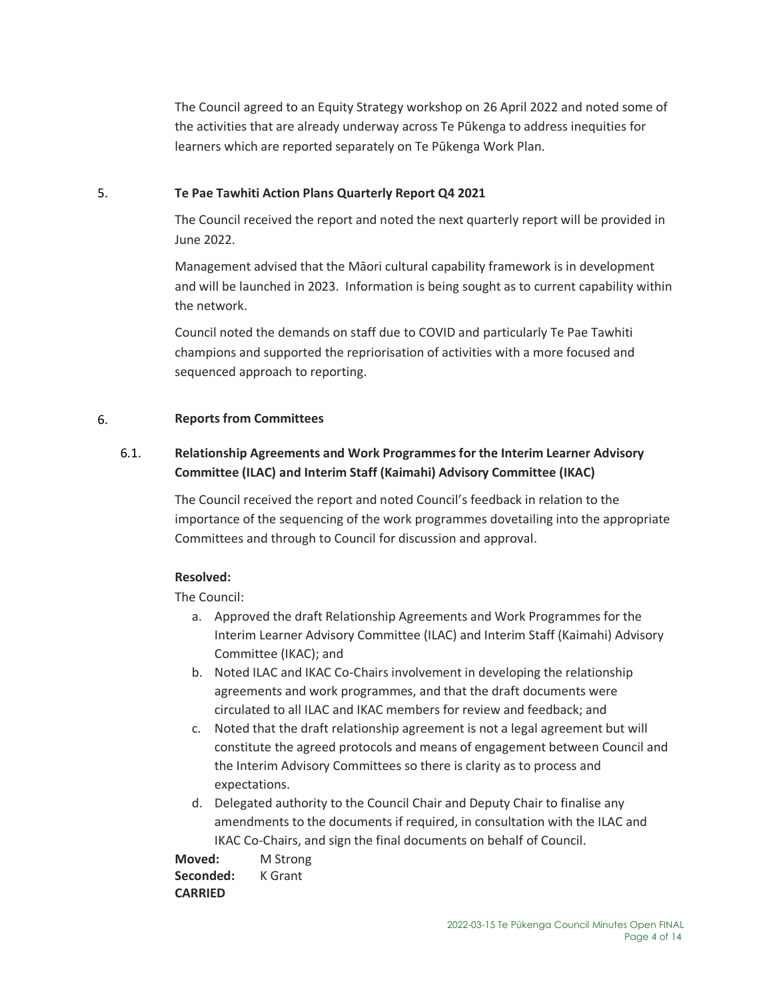The Council agreed to an Equity Strategy workshop on 26 April 2022 and noted some of the activities that are already underway across Te Pūkenga to address inequities for learners which are reported separately on Te Pūkenga Work Plan.

# 5. **Te Pae Tawhiti Action Plans Quarterly Report Q4 2021**

The Council received the report and noted the next quarterly report will be provided in June 2022.

Management advised that the Māori cultural capability framework is in development and will be launched in 2023. Information is being sought as to current capability within the network.

Council noted the demands on staff due to COVID and particularly Te Pae Tawhiti champions and supported the repriorisation of activities with a more focused and sequenced approach to reporting.

# 6. **Reports from Committees**

# 6.1. **Relationship Agreements and Work Programmes for the Interim Learner Advisory Committee (ILAC) and Interim Staff (Kaimahi) Advisory Committee (IKAC)**

The Council received the report and noted Council's feedback in relation to the importance of the sequencing of the work programmes dovetailing into the appropriate Committees and through to Council for discussion and approval.

# **Resolved:**

The Council:

- a. Approved the draft Relationship Agreements and Work Programmes for the Interim Learner Advisory Committee (ILAC) and Interim Staff (Kaimahi) Advisory Committee (IKAC); and
- b. Noted ILAC and IKAC Co-Chairs involvement in developing the relationship agreements and work programmes, and that the draft documents were circulated to all ILAC and IKAC members for review and feedback; and
- c. Noted that the draft relationship agreement is not a legal agreement but will constitute the agreed protocols and means of engagement between Council and the Interim Advisory Committees so there is clarity as to process and expectations.
- d. Delegated authority to the Council Chair and Deputy Chair to finalise any amendments to the documents if required, in consultation with the ILAC and IKAC Co-Chairs, and sign the final documents on behalf of Council.

**Moved:** M Strong Seconded: **K Grant CARRIED**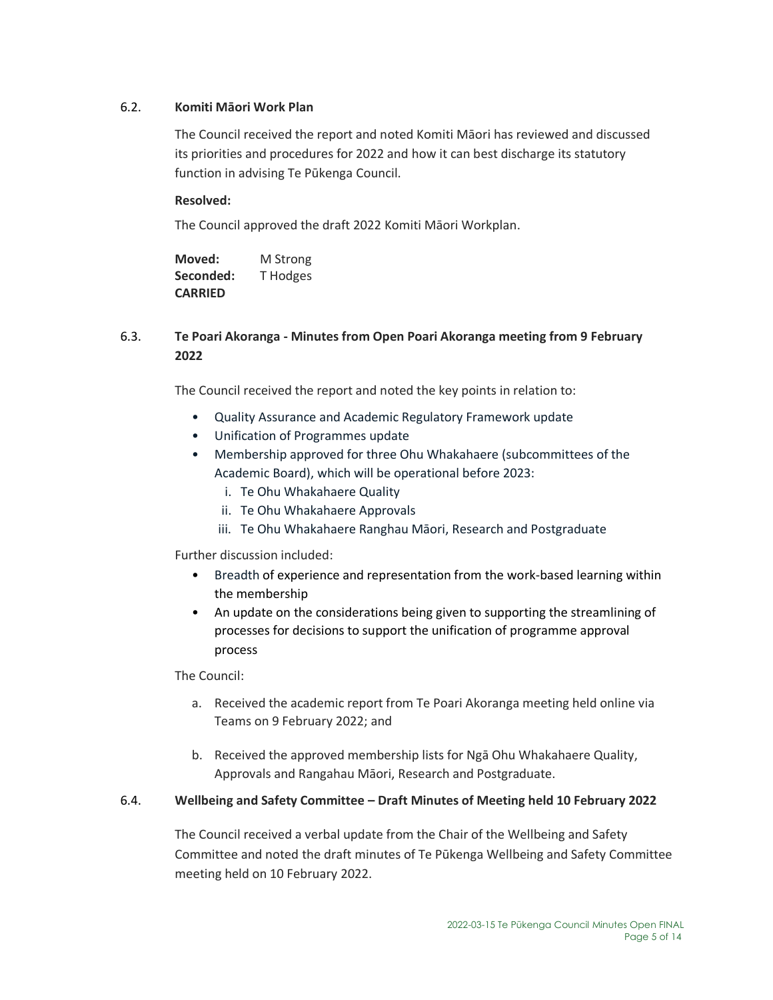# 6.2. **Komiti Māori Work Plan**

The Council received the report and noted Komiti Māori has reviewed and discussed its priorities and procedures for 2022 and how it can best discharge its statutory function in advising Te Pūkenga Council.

# **Resolved:**

The Council approved the draft 2022 Komiti Māori Workplan.

| Moved:         | M Strong |
|----------------|----------|
| Seconded:      | T Hodges |
| <b>CARRIED</b> |          |

# 6.3. **Te Poari Akoranga - Minutes from Open Poari Akoranga meeting from 9 February 2022**

The Council received the report and noted the key points in relation to:

- Quality Assurance and Academic Regulatory Framework update
- Unification of Programmes update
- Membership approved for three Ohu Whakahaere (subcommittees of the Academic Board), which will be operational before 2023:
	- i. Te Ohu Whakahaere Quality
	- ii. Te Ohu Whakahaere Approvals
	- iii. Te Ohu Whakahaere Ranghau Māori, Research and Postgraduate

Further discussion included:

- Breadth of experience and representation from the work-based learning within the membership
- An update on the considerations being given to supporting the streamlining of processes for decisions to support the unification of programme approval process

The Council:

- a. Received the academic report from Te Poari Akoranga meeting held online via Teams on 9 February 2022; and
- b. Received the approved membership lists for Ngā Ohu Whakahaere Quality, Approvals and Rangahau Māori, Research and Postgraduate.

# 6.4. **Wellbeing and Safety Committee – Draft Minutes of Meeting held 10 February 2022**

The Council received a verbal update from the Chair of the Wellbeing and Safety Committee and noted the draft minutes of Te Pūkenga Wellbeing and Safety Committee meeting held on 10 February 2022.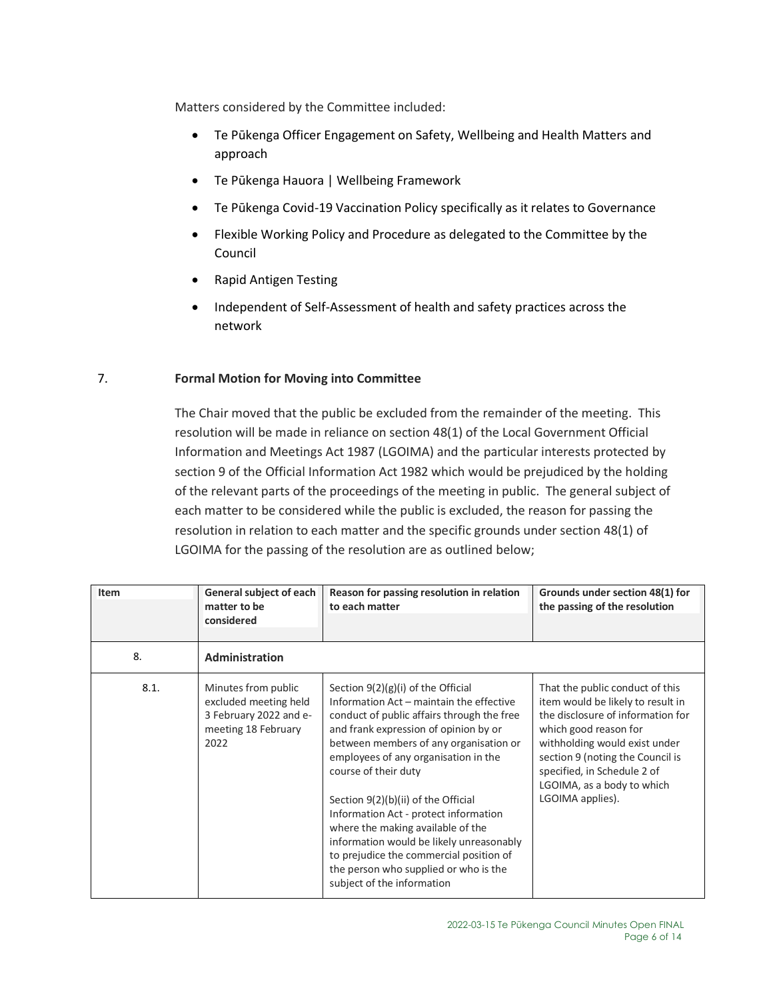Matters considered by the Committee included:

- Te Pūkenga Officer Engagement on Safety, Wellbeing and Health Matters and approach
- Te Pūkenga Hauora | Wellbeing Framework
- Te Pūkenga Covid-19 Vaccination Policy specifically as it relates to Governance
- Flexible Working Policy and Procedure as delegated to the Committee by the Council
- Rapid Antigen Testing
- Independent of Self-Assessment of health and safety practices across the network

# 7. **Formal Motion for Moving into Committee**

The Chair moved that the public be excluded from the remainder of the meeting. This resolution will be made in reliance on section 48(1) of the Local Government Official Information and Meetings Act 1987 (LGOIMA) and the particular interests protected by section 9 of the Official Information Act 1982 which would be prejudiced by the holding of the relevant parts of the proceedings of the meeting in public. The general subject of each matter to be considered while the public is excluded, the reason for passing the resolution in relation to each matter and the specific grounds under section 48(1) of LGOIMA for the passing of the resolution are as outlined below;

| Item | General subject of each<br>matter to be<br>considered                                                 | Reason for passing resolution in relation<br>to each matter                                                                                                                                                                                                                                                                                                                                                                                                                                                                                                          | Grounds under section 48(1) for<br>the passing of the resolution                                                                                                                                                                                                                         |
|------|-------------------------------------------------------------------------------------------------------|----------------------------------------------------------------------------------------------------------------------------------------------------------------------------------------------------------------------------------------------------------------------------------------------------------------------------------------------------------------------------------------------------------------------------------------------------------------------------------------------------------------------------------------------------------------------|------------------------------------------------------------------------------------------------------------------------------------------------------------------------------------------------------------------------------------------------------------------------------------------|
| 8.   | Administration                                                                                        |                                                                                                                                                                                                                                                                                                                                                                                                                                                                                                                                                                      |                                                                                                                                                                                                                                                                                          |
| 8.1. | Minutes from public<br>excluded meeting held<br>3 February 2022 and e-<br>meeting 18 February<br>2022 | Section $9(2)(g)(i)$ of the Official<br>Information Act - maintain the effective<br>conduct of public affairs through the free<br>and frank expression of opinion by or<br>between members of any organisation or<br>employees of any organisation in the<br>course of their duty<br>Section 9(2)(b)(ii) of the Official<br>Information Act - protect information<br>where the making available of the<br>information would be likely unreasonably<br>to prejudice the commercial position of<br>the person who supplied or who is the<br>subject of the information | That the public conduct of this<br>item would be likely to result in<br>the disclosure of information for<br>which good reason for<br>withholding would exist under<br>section 9 (noting the Council is<br>specified, in Schedule 2 of<br>LGOIMA, as a body to which<br>LGOIMA applies). |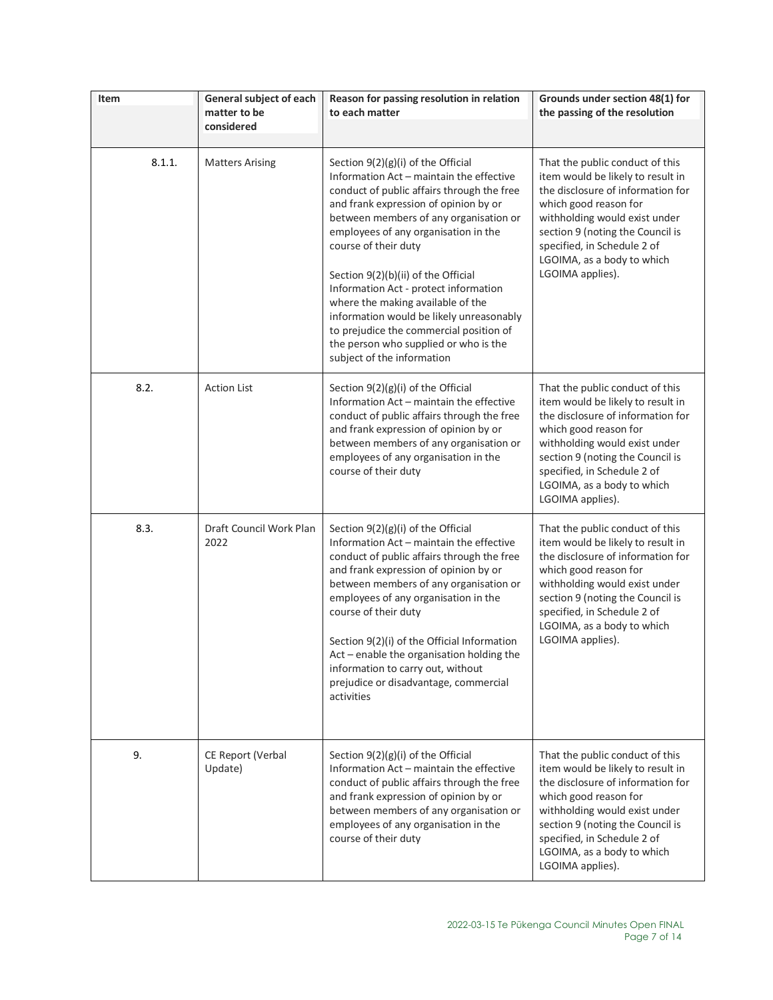| Item   | General subject of each<br>matter to be<br>considered | Reason for passing resolution in relation<br>to each matter                                                                                                                                                                                                                                                                                                                                                                                                                                                                                                        | Grounds under section 48(1) for<br>the passing of the resolution                                                                                                                                                                                                                         |
|--------|-------------------------------------------------------|--------------------------------------------------------------------------------------------------------------------------------------------------------------------------------------------------------------------------------------------------------------------------------------------------------------------------------------------------------------------------------------------------------------------------------------------------------------------------------------------------------------------------------------------------------------------|------------------------------------------------------------------------------------------------------------------------------------------------------------------------------------------------------------------------------------------------------------------------------------------|
| 8.1.1. | <b>Matters Arising</b>                                | Section 9(2)(g)(i) of the Official<br>Information Act - maintain the effective<br>conduct of public affairs through the free<br>and frank expression of opinion by or<br>between members of any organisation or<br>employees of any organisation in the<br>course of their duty<br>Section 9(2)(b)(ii) of the Official<br>Information Act - protect information<br>where the making available of the<br>information would be likely unreasonably<br>to prejudice the commercial position of<br>the person who supplied or who is the<br>subject of the information | That the public conduct of this<br>item would be likely to result in<br>the disclosure of information for<br>which good reason for<br>withholding would exist under<br>section 9 (noting the Council is<br>specified, in Schedule 2 of<br>LGOIMA, as a body to which<br>LGOIMA applies). |
| 8.2.   | <b>Action List</b>                                    | Section $9(2)(g)(i)$ of the Official<br>Information Act - maintain the effective<br>conduct of public affairs through the free<br>and frank expression of opinion by or<br>between members of any organisation or<br>employees of any organisation in the<br>course of their duty                                                                                                                                                                                                                                                                                  | That the public conduct of this<br>item would be likely to result in<br>the disclosure of information for<br>which good reason for<br>withholding would exist under<br>section 9 (noting the Council is<br>specified, in Schedule 2 of<br>LGOIMA, as a body to which<br>LGOIMA applies). |
| 8.3.   | Draft Council Work Plan<br>2022                       | Section $9(2)(g)(i)$ of the Official<br>Information Act - maintain the effective<br>conduct of public affairs through the free<br>and frank expression of opinion by or<br>between members of any organisation or<br>employees of any organisation in the<br>course of their duty<br>Section 9(2)(i) of the Official Information<br>Act - enable the organisation holding the<br>information to carry out, without<br>prejudice or disadvantage, commercial<br>activities                                                                                          | That the public conduct of this<br>item would be likely to result in<br>the disclosure of information for<br>which good reason for<br>withholding would exist under<br>section 9 (noting the Council is<br>specified, in Schedule 2 of<br>LGOIMA, as a body to which<br>LGOIMA applies). |
| 9.     | CE Report (Verbal<br>Update)                          | Section $9(2)(g)(i)$ of the Official<br>Information Act - maintain the effective<br>conduct of public affairs through the free<br>and frank expression of opinion by or<br>between members of any organisation or<br>employees of any organisation in the<br>course of their duty                                                                                                                                                                                                                                                                                  | That the public conduct of this<br>item would be likely to result in<br>the disclosure of information for<br>which good reason for<br>withholding would exist under<br>section 9 (noting the Council is<br>specified, in Schedule 2 of<br>LGOIMA, as a body to which<br>LGOIMA applies). |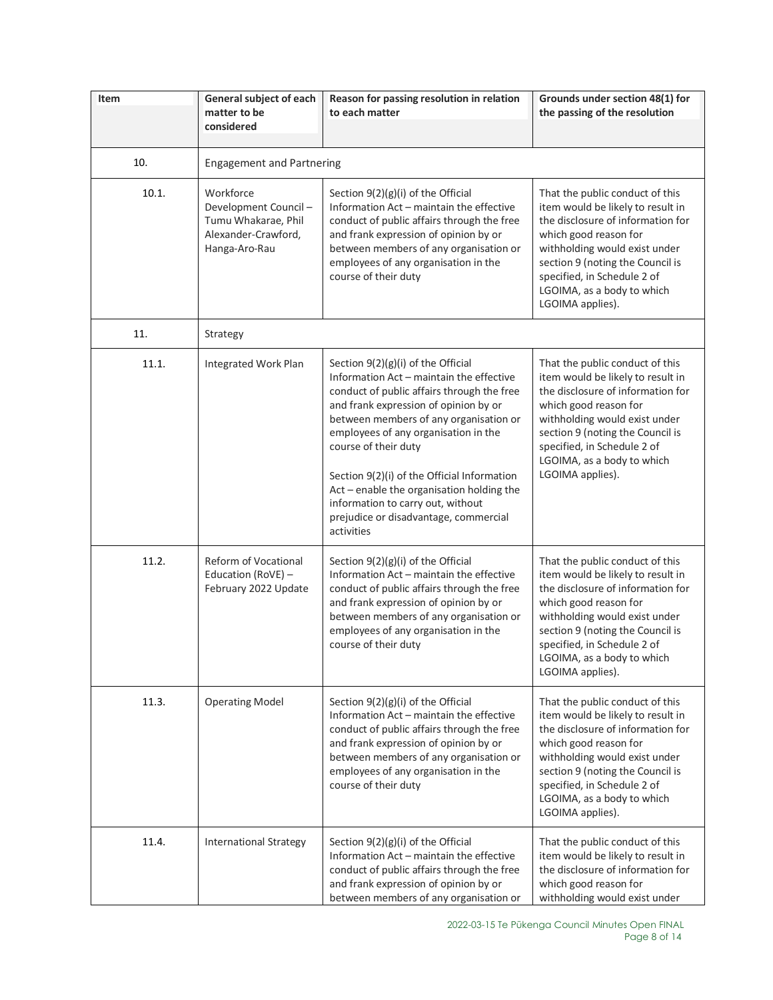| Item  | General subject of each<br>matter to be                                                          | Reason for passing resolution in relation<br>to each matter                                                                                                                                                                                                                                                                                                                                                                                                               | Grounds under section 48(1) for<br>the passing of the resolution                                                                                                                                                                                                                         |
|-------|--------------------------------------------------------------------------------------------------|---------------------------------------------------------------------------------------------------------------------------------------------------------------------------------------------------------------------------------------------------------------------------------------------------------------------------------------------------------------------------------------------------------------------------------------------------------------------------|------------------------------------------------------------------------------------------------------------------------------------------------------------------------------------------------------------------------------------------------------------------------------------------|
|       | considered                                                                                       |                                                                                                                                                                                                                                                                                                                                                                                                                                                                           |                                                                                                                                                                                                                                                                                          |
| 10.   | <b>Engagement and Partnering</b>                                                                 |                                                                                                                                                                                                                                                                                                                                                                                                                                                                           |                                                                                                                                                                                                                                                                                          |
| 10.1. | Workforce<br>Development Council-<br>Tumu Whakarae, Phil<br>Alexander-Crawford,<br>Hanga-Aro-Rau | Section $9(2)(g)(i)$ of the Official<br>Information Act - maintain the effective<br>conduct of public affairs through the free<br>and frank expression of opinion by or<br>between members of any organisation or<br>employees of any organisation in the<br>course of their duty                                                                                                                                                                                         | That the public conduct of this<br>item would be likely to result in<br>the disclosure of information for<br>which good reason for<br>withholding would exist under<br>section 9 (noting the Council is<br>specified, in Schedule 2 of<br>LGOIMA, as a body to which<br>LGOIMA applies). |
| 11.   | Strategy                                                                                         |                                                                                                                                                                                                                                                                                                                                                                                                                                                                           |                                                                                                                                                                                                                                                                                          |
| 11.1. | Integrated Work Plan                                                                             | Section $9(2)(g)(i)$ of the Official<br>Information Act - maintain the effective<br>conduct of public affairs through the free<br>and frank expression of opinion by or<br>between members of any organisation or<br>employees of any organisation in the<br>course of their duty<br>Section 9(2)(i) of the Official Information<br>Act - enable the organisation holding the<br>information to carry out, without<br>prejudice or disadvantage, commercial<br>activities | That the public conduct of this<br>item would be likely to result in<br>the disclosure of information for<br>which good reason for<br>withholding would exist under<br>section 9 (noting the Council is<br>specified, in Schedule 2 of<br>LGOIMA, as a body to which<br>LGOIMA applies). |
| 11.2. | Reform of Vocational<br>Education (RoVE) -<br>February 2022 Update                               | Section $9(2)(g)(i)$ of the Official<br>Information Act - maintain the effective<br>conduct of public affairs through the free<br>and frank expression of opinion by or<br>between members of any organisation or<br>employees of any organisation in the<br>course of their duty                                                                                                                                                                                         | That the public conduct of this<br>item would be likely to result in<br>the disclosure of information for<br>which good reason for<br>withholding would exist under<br>section 9 (noting the Council is<br>specified, in Schedule 2 of<br>LGOIMA, as a body to which<br>LGOIMA applies). |
| 11.3. | <b>Operating Model</b>                                                                           | Section 9(2)(g)(i) of the Official<br>Information Act - maintain the effective<br>conduct of public affairs through the free<br>and frank expression of opinion by or<br>between members of any organisation or<br>employees of any organisation in the<br>course of their duty                                                                                                                                                                                           | That the public conduct of this<br>item would be likely to result in<br>the disclosure of information for<br>which good reason for<br>withholding would exist under<br>section 9 (noting the Council is<br>specified, in Schedule 2 of<br>LGOIMA, as a body to which<br>LGOIMA applies). |
| 11.4. | <b>International Strategy</b>                                                                    | Section $9(2)(g)(i)$ of the Official<br>Information Act - maintain the effective<br>conduct of public affairs through the free<br>and frank expression of opinion by or<br>between members of any organisation or                                                                                                                                                                                                                                                         | That the public conduct of this<br>item would be likely to result in<br>the disclosure of information for<br>which good reason for<br>withholding would exist under                                                                                                                      |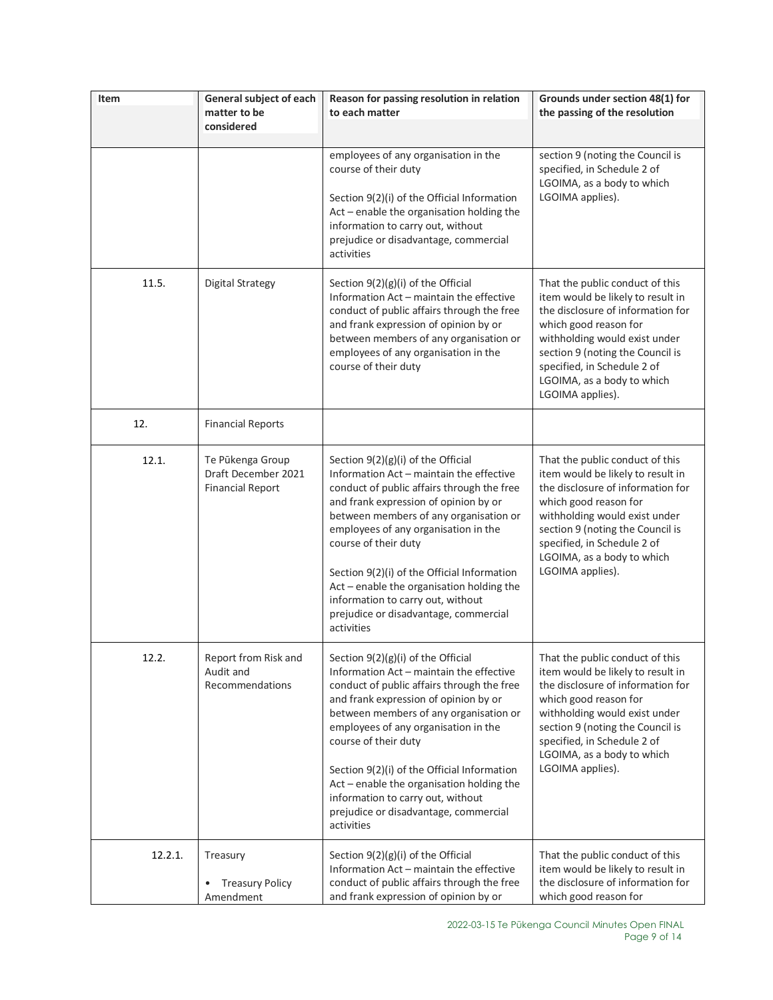| Item    | General subject of each                                            | Reason for passing resolution in relation                                                                                                                                                                                                                                                                                                                                                                                                                               | Grounds under section 48(1) for                                                                                                                                                                                                                                                          |
|---------|--------------------------------------------------------------------|-------------------------------------------------------------------------------------------------------------------------------------------------------------------------------------------------------------------------------------------------------------------------------------------------------------------------------------------------------------------------------------------------------------------------------------------------------------------------|------------------------------------------------------------------------------------------------------------------------------------------------------------------------------------------------------------------------------------------------------------------------------------------|
|         | matter to be<br>considered                                         | to each matter                                                                                                                                                                                                                                                                                                                                                                                                                                                          | the passing of the resolution                                                                                                                                                                                                                                                            |
|         |                                                                    |                                                                                                                                                                                                                                                                                                                                                                                                                                                                         |                                                                                                                                                                                                                                                                                          |
|         |                                                                    | employees of any organisation in the<br>course of their duty<br>Section 9(2)(i) of the Official Information<br>Act - enable the organisation holding the<br>information to carry out, without<br>prejudice or disadvantage, commercial<br>activities                                                                                                                                                                                                                    | section 9 (noting the Council is<br>specified, in Schedule 2 of<br>LGOIMA, as a body to which<br>LGOIMA applies).                                                                                                                                                                        |
| 11.5.   | <b>Digital Strategy</b>                                            | Section $9(2)(g)(i)$ of the Official<br>Information Act - maintain the effective<br>conduct of public affairs through the free<br>and frank expression of opinion by or<br>between members of any organisation or<br>employees of any organisation in the<br>course of their duty                                                                                                                                                                                       | That the public conduct of this<br>item would be likely to result in<br>the disclosure of information for<br>which good reason for<br>withholding would exist under<br>section 9 (noting the Council is<br>specified, in Schedule 2 of<br>LGOIMA, as a body to which<br>LGOIMA applies). |
| 12.     | <b>Financial Reports</b>                                           |                                                                                                                                                                                                                                                                                                                                                                                                                                                                         |                                                                                                                                                                                                                                                                                          |
| 12.1.   | Te Pūkenga Group<br>Draft December 2021<br><b>Financial Report</b> | Section 9(2)(g)(i) of the Official<br>Information Act - maintain the effective<br>conduct of public affairs through the free<br>and frank expression of opinion by or<br>between members of any organisation or<br>employees of any organisation in the<br>course of their duty<br>Section 9(2)(i) of the Official Information<br>Act - enable the organisation holding the<br>information to carry out, without<br>prejudice or disadvantage, commercial<br>activities | That the public conduct of this<br>item would be likely to result in<br>the disclosure of information for<br>which good reason for<br>withholding would exist under<br>section 9 (noting the Council is<br>specified, in Schedule 2 of<br>LGOIMA, as a body to which<br>LGOIMA applies). |
| 12.2.   | Report from Risk and<br>Audit and<br>Recommendations               | Section 9(2)(g)(i) of the Official<br>Information Act - maintain the effective<br>conduct of public affairs through the free<br>and frank expression of opinion by or<br>between members of any organisation or<br>employees of any organisation in the<br>course of their duty<br>Section 9(2)(i) of the Official Information<br>Act - enable the organisation holding the<br>information to carry out, without<br>prejudice or disadvantage, commercial<br>activities | That the public conduct of this<br>item would be likely to result in<br>the disclosure of information for<br>which good reason for<br>withholding would exist under<br>section 9 (noting the Council is<br>specified, in Schedule 2 of<br>LGOIMA, as a body to which<br>LGOIMA applies). |
| 12.2.1. | Treasury<br><b>Treasury Policy</b><br>Amendment                    | Section $9(2)(g)(i)$ of the Official<br>Information Act - maintain the effective<br>conduct of public affairs through the free<br>and frank expression of opinion by or                                                                                                                                                                                                                                                                                                 | That the public conduct of this<br>item would be likely to result in<br>the disclosure of information for<br>which good reason for                                                                                                                                                       |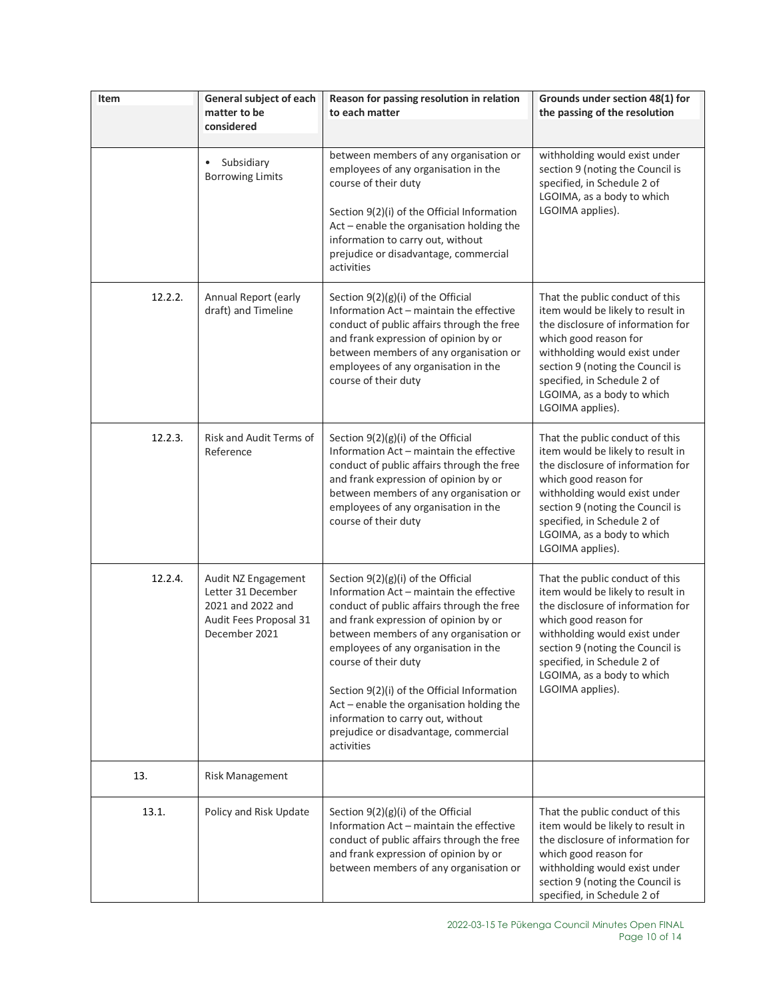| Item    | General subject of each<br>matter to be                                                                   | Reason for passing resolution in relation<br>to each matter                                                                                                                                                                                                                                                                                                                                                                                                               | Grounds under section 48(1) for<br>the passing of the resolution                                                                                                                                                                                                                         |
|---------|-----------------------------------------------------------------------------------------------------------|---------------------------------------------------------------------------------------------------------------------------------------------------------------------------------------------------------------------------------------------------------------------------------------------------------------------------------------------------------------------------------------------------------------------------------------------------------------------------|------------------------------------------------------------------------------------------------------------------------------------------------------------------------------------------------------------------------------------------------------------------------------------------|
|         | considered                                                                                                |                                                                                                                                                                                                                                                                                                                                                                                                                                                                           |                                                                                                                                                                                                                                                                                          |
|         | Subsidiary<br>$\bullet$<br><b>Borrowing Limits</b>                                                        | between members of any organisation or<br>employees of any organisation in the<br>course of their duty<br>Section 9(2)(i) of the Official Information<br>Act - enable the organisation holding the<br>information to carry out, without<br>prejudice or disadvantage, commercial<br>activities                                                                                                                                                                            | withholding would exist under<br>section 9 (noting the Council is<br>specified, in Schedule 2 of<br>LGOIMA, as a body to which<br>LGOIMA applies).                                                                                                                                       |
| 12.2.2. | Annual Report (early<br>draft) and Timeline                                                               | Section $9(2)(g)(i)$ of the Official<br>Information Act - maintain the effective<br>conduct of public affairs through the free<br>and frank expression of opinion by or<br>between members of any organisation or<br>employees of any organisation in the<br>course of their duty                                                                                                                                                                                         | That the public conduct of this<br>item would be likely to result in<br>the disclosure of information for<br>which good reason for<br>withholding would exist under<br>section 9 (noting the Council is<br>specified, in Schedule 2 of<br>LGOIMA, as a body to which<br>LGOIMA applies). |
| 12.2.3. | Risk and Audit Terms of<br>Reference                                                                      | Section $9(2)(g)(i)$ of the Official<br>Information Act - maintain the effective<br>conduct of public affairs through the free<br>and frank expression of opinion by or<br>between members of any organisation or<br>employees of any organisation in the<br>course of their duty                                                                                                                                                                                         | That the public conduct of this<br>item would be likely to result in<br>the disclosure of information for<br>which good reason for<br>withholding would exist under<br>section 9 (noting the Council is<br>specified, in Schedule 2 of<br>LGOIMA, as a body to which<br>LGOIMA applies). |
| 12.2.4. | Audit NZ Engagement<br>Letter 31 December<br>2021 and 2022 and<br>Audit Fees Proposal 31<br>December 2021 | Section $9(2)(g)(i)$ of the Official<br>Information Act - maintain the effective<br>conduct of public affairs through the free<br>and frank expression of opinion by or<br>between members of any organisation or<br>employees of any organisation in the<br>course of their duty<br>Section 9(2)(i) of the Official Information<br>Act - enable the organisation holding the<br>information to carry out, without<br>prejudice or disadvantage, commercial<br>activities | That the public conduct of this<br>item would be likely to result in<br>the disclosure of information for<br>which good reason for<br>withholding would exist under<br>section 9 (noting the Council is<br>specified, in Schedule 2 of<br>LGOIMA, as a body to which<br>LGOIMA applies). |
| 13.     | <b>Risk Management</b>                                                                                    |                                                                                                                                                                                                                                                                                                                                                                                                                                                                           |                                                                                                                                                                                                                                                                                          |
| 13.1.   | Policy and Risk Update                                                                                    | Section $9(2)(g)(i)$ of the Official<br>Information Act - maintain the effective<br>conduct of public affairs through the free<br>and frank expression of opinion by or<br>between members of any organisation or                                                                                                                                                                                                                                                         | That the public conduct of this<br>item would be likely to result in<br>the disclosure of information for<br>which good reason for<br>withholding would exist under<br>section 9 (noting the Council is<br>specified, in Schedule 2 of                                                   |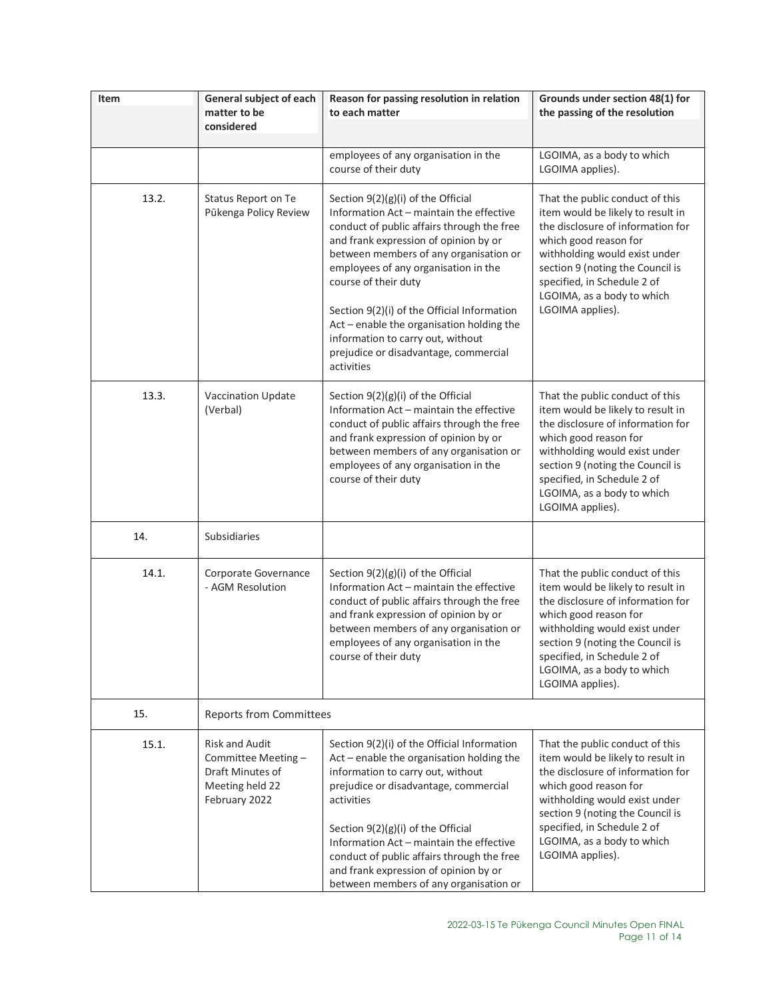| Item  | General subject of each                                                                              | Reason for passing resolution in relation                                                                                                                                                                                                                                                                                                                                                                                                                                 | Grounds under section 48(1) for                                                                                                                                                                                                                                                          |
|-------|------------------------------------------------------------------------------------------------------|---------------------------------------------------------------------------------------------------------------------------------------------------------------------------------------------------------------------------------------------------------------------------------------------------------------------------------------------------------------------------------------------------------------------------------------------------------------------------|------------------------------------------------------------------------------------------------------------------------------------------------------------------------------------------------------------------------------------------------------------------------------------------|
|       | matter to be<br>considered                                                                           | to each matter                                                                                                                                                                                                                                                                                                                                                                                                                                                            | the passing of the resolution                                                                                                                                                                                                                                                            |
|       |                                                                                                      |                                                                                                                                                                                                                                                                                                                                                                                                                                                                           |                                                                                                                                                                                                                                                                                          |
|       |                                                                                                      | employees of any organisation in the<br>course of their duty                                                                                                                                                                                                                                                                                                                                                                                                              | LGOIMA, as a body to which<br>LGOIMA applies).                                                                                                                                                                                                                                           |
| 13.2. | Status Report on Te<br>Pūkenga Policy Review                                                         | Section $9(2)(g)(i)$ of the Official<br>Information Act - maintain the effective<br>conduct of public affairs through the free<br>and frank expression of opinion by or<br>between members of any organisation or<br>employees of any organisation in the<br>course of their duty<br>Section 9(2)(i) of the Official Information<br>Act - enable the organisation holding the<br>information to carry out, without<br>prejudice or disadvantage, commercial<br>activities | That the public conduct of this<br>item would be likely to result in<br>the disclosure of information for<br>which good reason for<br>withholding would exist under<br>section 9 (noting the Council is<br>specified, in Schedule 2 of<br>LGOIMA, as a body to which<br>LGOIMA applies). |
| 13.3. | <b>Vaccination Update</b><br>(Verbal)                                                                | Section $9(2)(g)(i)$ of the Official<br>Information Act - maintain the effective<br>conduct of public affairs through the free<br>and frank expression of opinion by or<br>between members of any organisation or<br>employees of any organisation in the<br>course of their duty                                                                                                                                                                                         | That the public conduct of this<br>item would be likely to result in<br>the disclosure of information for<br>which good reason for<br>withholding would exist under<br>section 9 (noting the Council is<br>specified, in Schedule 2 of<br>LGOIMA, as a body to which<br>LGOIMA applies). |
| 14.   | Subsidiaries                                                                                         |                                                                                                                                                                                                                                                                                                                                                                                                                                                                           |                                                                                                                                                                                                                                                                                          |
| 14.1. | Corporate Governance<br>- AGM Resolution                                                             | Section $9(2)(g)(i)$ of the Official<br>Information Act - maintain the effective<br>conduct of public affairs through the free<br>and frank expression of opinion by or<br>between members of any organisation or<br>employees of any organisation in the<br>course of their duty                                                                                                                                                                                         | That the public conduct of this<br>item would be likely to result in<br>the disclosure of information for<br>which good reason for<br>withholding would exist under<br>section 9 (noting the Council is<br>specified, in Schedule 2 of<br>LGOIMA, as a body to which<br>LGOIMA applies). |
| 15.   | <b>Reports from Committees</b>                                                                       |                                                                                                                                                                                                                                                                                                                                                                                                                                                                           |                                                                                                                                                                                                                                                                                          |
| 15.1. | <b>Risk and Audit</b><br>Committee Meeting -<br>Draft Minutes of<br>Meeting held 22<br>February 2022 | Section 9(2)(i) of the Official Information<br>Act - enable the organisation holding the<br>information to carry out, without<br>prejudice or disadvantage, commercial<br>activities<br>Section $9(2)(g)(i)$ of the Official<br>Information Act - maintain the effective<br>conduct of public affairs through the free<br>and frank expression of opinion by or<br>between members of any organisation or                                                                 | That the public conduct of this<br>item would be likely to result in<br>the disclosure of information for<br>which good reason for<br>withholding would exist under<br>section 9 (noting the Council is<br>specified, in Schedule 2 of<br>LGOIMA, as a body to which<br>LGOIMA applies). |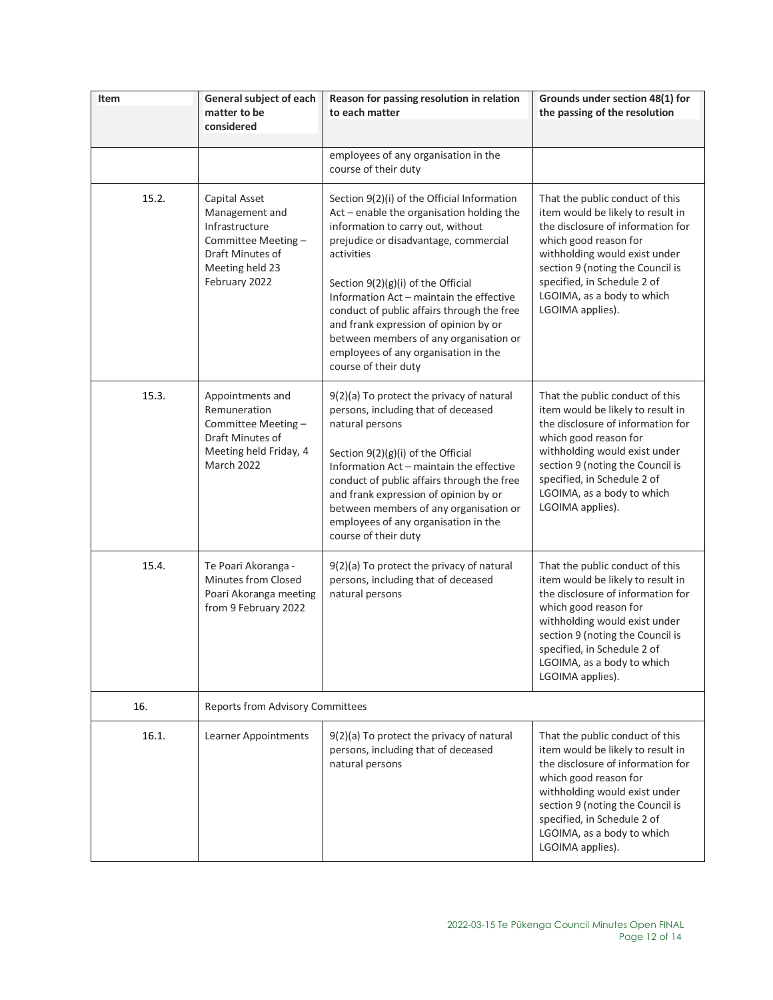| Item  | General subject of each<br>matter to be                                                                                         | Reason for passing resolution in relation<br>to each matter                                                                                                                                                                                                                                                                                                                                                                                                               | Grounds under section 48(1) for<br>the passing of the resolution                                                                                                                                                                                                                         |
|-------|---------------------------------------------------------------------------------------------------------------------------------|---------------------------------------------------------------------------------------------------------------------------------------------------------------------------------------------------------------------------------------------------------------------------------------------------------------------------------------------------------------------------------------------------------------------------------------------------------------------------|------------------------------------------------------------------------------------------------------------------------------------------------------------------------------------------------------------------------------------------------------------------------------------------|
|       | considered                                                                                                                      |                                                                                                                                                                                                                                                                                                                                                                                                                                                                           |                                                                                                                                                                                                                                                                                          |
|       |                                                                                                                                 | employees of any organisation in the<br>course of their duty                                                                                                                                                                                                                                                                                                                                                                                                              |                                                                                                                                                                                                                                                                                          |
| 15.2. | Capital Asset<br>Management and<br>Infrastructure<br>Committee Meeting-<br>Draft Minutes of<br>Meeting held 23<br>February 2022 | Section 9(2)(i) of the Official Information<br>Act - enable the organisation holding the<br>information to carry out, without<br>prejudice or disadvantage, commercial<br>activities<br>Section $9(2)(g)(i)$ of the Official<br>Information Act - maintain the effective<br>conduct of public affairs through the free<br>and frank expression of opinion by or<br>between members of any organisation or<br>employees of any organisation in the<br>course of their duty | That the public conduct of this<br>item would be likely to result in<br>the disclosure of information for<br>which good reason for<br>withholding would exist under<br>section 9 (noting the Council is<br>specified, in Schedule 2 of<br>LGOIMA, as a body to which<br>LGOIMA applies). |
| 15.3. | Appointments and<br>Remuneration<br>Committee Meeting -<br>Draft Minutes of<br>Meeting held Friday, 4<br><b>March 2022</b>      | 9(2)(a) To protect the privacy of natural<br>persons, including that of deceased<br>natural persons<br>Section $9(2)(g)(i)$ of the Official<br>Information Act - maintain the effective<br>conduct of public affairs through the free<br>and frank expression of opinion by or<br>between members of any organisation or<br>employees of any organisation in the<br>course of their duty                                                                                  | That the public conduct of this<br>item would be likely to result in<br>the disclosure of information for<br>which good reason for<br>withholding would exist under<br>section 9 (noting the Council is<br>specified, in Schedule 2 of<br>LGOIMA, as a body to which<br>LGOIMA applies). |
| 15.4. | Te Poari Akoranga -<br>Minutes from Closed<br>Poari Akoranga meeting<br>from 9 February 2022                                    | 9(2)(a) To protect the privacy of natural<br>persons, including that of deceased<br>natural persons                                                                                                                                                                                                                                                                                                                                                                       | That the public conduct of this<br>item would be likely to result in<br>the disclosure of information for<br>which good reason for<br>withholding would exist under<br>section 9 (noting the Council is<br>specified, in Schedule 2 of<br>LGOIMA, as a body to which<br>LGOIMA applies). |
| 16.   | <b>Reports from Advisory Committees</b>                                                                                         |                                                                                                                                                                                                                                                                                                                                                                                                                                                                           |                                                                                                                                                                                                                                                                                          |
| 16.1. | Learner Appointments                                                                                                            | 9(2)(a) To protect the privacy of natural<br>persons, including that of deceased<br>natural persons                                                                                                                                                                                                                                                                                                                                                                       | That the public conduct of this<br>item would be likely to result in<br>the disclosure of information for<br>which good reason for<br>withholding would exist under<br>section 9 (noting the Council is<br>specified, in Schedule 2 of<br>LGOIMA, as a body to which<br>LGOIMA applies). |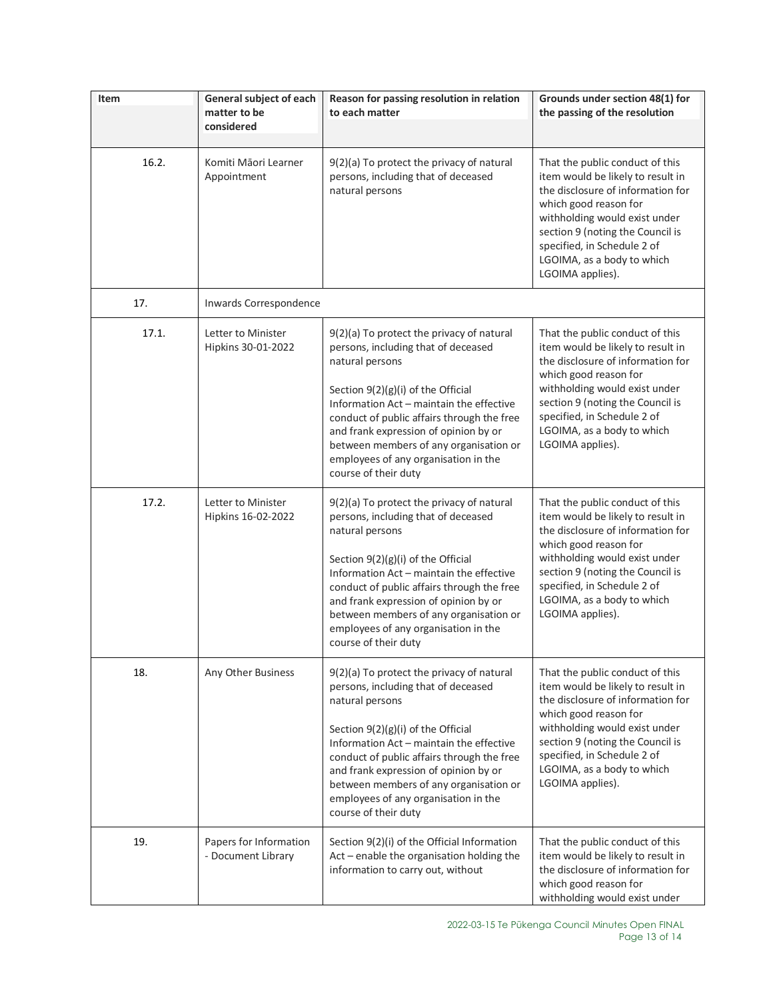| Item  | General subject of each<br>matter to be<br>considered | Reason for passing resolution in relation<br>to each matter                                                                                                                                                                                                                                                                                                                              | Grounds under section 48(1) for<br>the passing of the resolution                                                                                                                                                                                                                         |
|-------|-------------------------------------------------------|------------------------------------------------------------------------------------------------------------------------------------------------------------------------------------------------------------------------------------------------------------------------------------------------------------------------------------------------------------------------------------------|------------------------------------------------------------------------------------------------------------------------------------------------------------------------------------------------------------------------------------------------------------------------------------------|
|       |                                                       |                                                                                                                                                                                                                                                                                                                                                                                          |                                                                                                                                                                                                                                                                                          |
| 16.2. | Komiti Māori Learner<br>Appointment                   | 9(2)(a) To protect the privacy of natural<br>persons, including that of deceased<br>natural persons                                                                                                                                                                                                                                                                                      | That the public conduct of this<br>item would be likely to result in<br>the disclosure of information for<br>which good reason for<br>withholding would exist under<br>section 9 (noting the Council is<br>specified, in Schedule 2 of<br>LGOIMA, as a body to which<br>LGOIMA applies). |
| 17.   | Inwards Correspondence                                |                                                                                                                                                                                                                                                                                                                                                                                          |                                                                                                                                                                                                                                                                                          |
| 17.1. | Letter to Minister<br>Hipkins 30-01-2022              | 9(2)(a) To protect the privacy of natural<br>persons, including that of deceased<br>natural persons<br>Section 9(2)(g)(i) of the Official<br>Information Act - maintain the effective<br>conduct of public affairs through the free<br>and frank expression of opinion by or<br>between members of any organisation or<br>employees of any organisation in the<br>course of their duty   | That the public conduct of this<br>item would be likely to result in<br>the disclosure of information for<br>which good reason for<br>withholding would exist under<br>section 9 (noting the Council is<br>specified, in Schedule 2 of<br>LGOIMA, as a body to which<br>LGOIMA applies). |
| 17.2. | Letter to Minister<br>Hipkins 16-02-2022              | 9(2)(a) To protect the privacy of natural<br>persons, including that of deceased<br>natural persons<br>Section $9(2)(g)(i)$ of the Official<br>Information Act - maintain the effective<br>conduct of public affairs through the free<br>and frank expression of opinion by or<br>between members of any organisation or<br>employees of any organisation in the<br>course of their duty | That the public conduct of this<br>item would be likely to result in<br>the disclosure of information for<br>which good reason for<br>withholding would exist under<br>section 9 (noting the Council is<br>specified, in Schedule 2 of<br>LGOIMA, as a body to which<br>LGOIMA applies). |
| 18.   | Any Other Business                                    | 9(2)(a) To protect the privacy of natural<br>persons, including that of deceased<br>natural persons<br>Section $9(2)(g)(i)$ of the Official<br>Information Act - maintain the effective<br>conduct of public affairs through the free<br>and frank expression of opinion by or<br>between members of any organisation or<br>employees of any organisation in the<br>course of their duty | That the public conduct of this<br>item would be likely to result in<br>the disclosure of information for<br>which good reason for<br>withholding would exist under<br>section 9 (noting the Council is<br>specified, in Schedule 2 of<br>LGOIMA, as a body to which<br>LGOIMA applies). |
| 19.   | Papers for Information<br>- Document Library          | Section 9(2)(i) of the Official Information<br>Act - enable the organisation holding the<br>information to carry out, without                                                                                                                                                                                                                                                            | That the public conduct of this<br>item would be likely to result in<br>the disclosure of information for<br>which good reason for<br>withholding would exist under                                                                                                                      |